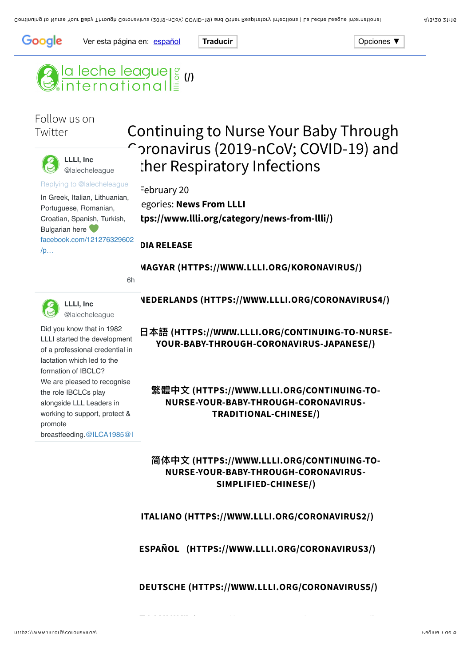

Ver esta página en: [español](javascript:void(0)) **Traducir Operation Operation** Operationes ▼

# **(3)** la leche league | s (1)<br>Generational =

# Follow us on **Twitter**



**LLLI, Inc** [@lalecheleague](https://twitter.com/lalecheleague)

[Replying to @lalecheleague](https://twitter.com/_/status/1235204158027894784)

In Greek, Italian, Lithuanian, Portuguese, Romanian, Croatian, Spanish, Turkish, Bulgarian here [facebook.com/121276329602](https://t.co/D0tgKNGPQC) /p…

# Continuing to Nurse Your Baby Through Coronavirus (2019-nCoV; COVID-19) and ther Respiratory Infections

#### February 20

**Egories: News From LLLI [\(https://www.llli.org/category/news-from-llli/\)](https://www.llli.org/category/news-from-llli/)**

#### **DIA RELEASE**

**[MAGYAR \(HTTPS://WWW.LLLI.ORG/KORONAVIRUS/\)](https://www.llli.org/koronavirus/)**

[6h](https://twitter.com/lalecheleague/status/1235204160708128768)



**LLLI, Inc** [@lalecheleague](https://twitter.com/lalecheleague)

Did you know that in 1982 LLLI started the development of a professional credential in lactation which led to the formation of IBCLC? We are pleased to recognise the role IBCLCs play alongside LLL Leaders in working to support, protect & promote [breastfeeding.](https://twitter.com/IBLCE)[@ILCA1985](https://twitter.com/ILCA1985)[@I](https://twitter.com/IBLCE)

## **[NEDERLANDS \(HTTPS://WWW.LLLI.ORG/CORONAVIRUS4/\)](https://www.llli.org/coronavirus4/)**

**෭承 [\(HTTPS://WWW.LLLI.ORG/CONTINUING-TO-NURSE-](https://www.llli.org/continuing-to-nurse-your-baby-through-coronavirus-japanese/)YOUR-BABY-THROUGH-CORONAVIRUS-JAPANESE/)**

# **ᔺ℆Ӿ (HTTPS://WWW.LLLI.ORG/CONTINUING-TO-[NURSE-YOUR-BABY-THROUGH-CORONAVIRUS-](https://www.llli.org/continuing-to-nurse-your-baby-through-coronavirus-traditional-chinese/)TRADITIONAL-CHINESE/)**

# **ᓌ֛Ӿ (HTTPS://WWW.LLLI.ORG/CONTINUING-TO-[NURSE-YOUR-BABY-THROUGH-CORONAVIRUS-](https://www.llli.org/continuing-to-nurse-your-baby-through-coronavirus-simplified-chinese/)SIMPLIFIED-CHINESE/)**

#### **[ITALIANO \(HTTPS://WWW.LLLI.ORG/CORONAVIRUS2/\)](https://www.llli.org/coronavirus2/)**

#### **[ESPAÑOL \(HTTPS://WWW.LLLI.ORG/CORONAVIRUS3/\)](https://www.llli.org/coronavirus3/)**

#### **[DEUTSCHE \(HTTPS://WWW.LLLI.ORG/CORONAVIRUS5/\)](https://www.llli.org/coronavirus5/)**

**ΕΛΛΗΝΙΚΆΣ** (HTTPS://WWW.LLI.ORg/CORNAVIRUS6/)<br>Ο ΠΑΡΑΣΤΟΡΙΚΆΣ (HTTPS://WWW.LLCD/CORNAVIRUS6/)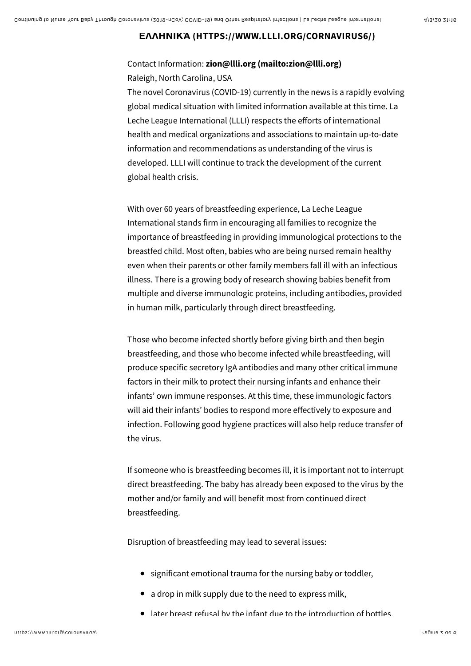#### **ΕΛΛΗΝΙΚΆ [\(HTTPS://WWW.LLLI.ORG/CORNAVIRUS6/\)](https://www.llli.org/cornavirus6/)**

## Contact Information: **[zion@llli.org \(mailto:zion@llli.org\)](mailto:zion@llli.org)** Raleigh, North Carolina, USA

The novel Coronavirus (COVID-19) currently in the news is a rapidly evolving global medical situation with limited information available at this time. La Leche League International (LLLI) respects the efforts of international health and medical organizations and associations to maintain up-to-date information and recommendations as understanding of the virus is developed. LLLI will continue to track the development of the current global health crisis.

With over 60 years of breastfeeding experience, La Leche League International stands firm in encouraging all families to recognize the importance of breastfeeding in providing immunological protections to the breastfed child. Most often, babies who are being nursed remain healthy even when their parents or other family members fall ill with an infectious illness. There is a growing body of research showing babies benefit from multiple and diverse immunologic proteins, including antibodies, provided in human milk, particularly through direct breastfeeding.

Those who become infected shortly before giving birth and then begin breastfeeding, and those who become infected while breastfeeding, will produce specific secretory IgA antibodies and many other critical immune factors in their milk to protect their nursing infants and enhance their infants' own immune responses. At this time, these immunologic factors will aid their infants' bodies to respond more effectively to exposure and infection. Following good hygiene practices will also help reduce transfer of the virus.

If someone who is breastfeeding becomes ill, it is important not to interrupt direct breastfeeding. The baby has already been exposed to the virus by the mother and/or family and will benefit most from continued direct breastfeeding.

Disruption of breastfeeding may lead to several issues:

- significant emotional trauma for the nursing baby or toddler,
- a drop in milk supply due to the need to express milk,
- later breast refusal by the infant due to the introduction of bottles,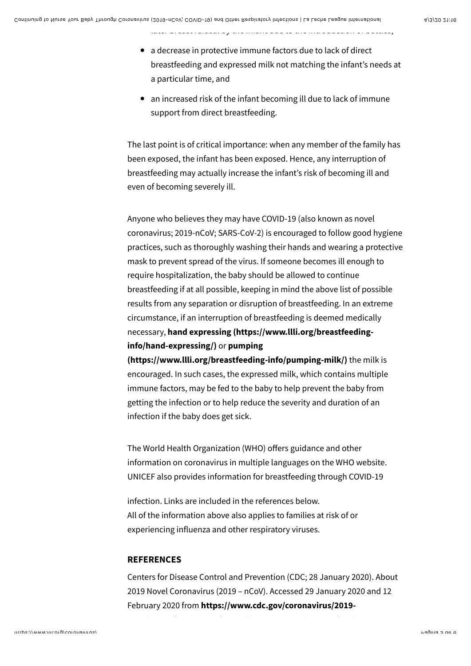a decrease in protective immune factors due to lack of direct breastfeeding and expressed milk not matching the infant's needs at a particular time, and

later breast refusal by the infant due to the introduction of bottles,

an increased risk of the infant becoming ill due to lack of immune support from direct breastfeeding.

The last point is of critical importance: when any member of the family has been exposed, the infant has been exposed. Hence, any interruption of breastfeeding may actually increase the infant's risk of becoming ill and even of becoming severely ill.

Anyone who believes they may have COVID-19 (also known as novel coronavirus; 2019-nCoV; SARS-CoV-2) is encouraged to follow good hygiene practices, such as thoroughly washing their hands and wearing a protective mask to prevent spread of the virus. If someone becomes ill enough to require hospitalization, the baby should be allowed to continue breastfeeding if at all possible, keeping in mind the above list of possible results from any separation or disruption of breastfeeding. In an extreme circumstance, if an interruption of breastfeeding is deemed medically necessary, **[hand expressing \(https://www.llli.org/breastfeeding](https://www.llli.org/breastfeeding-info/hand-expressing/)info/hand-expressing/)** or **pumping**

**[\(https://www.llli.org/breastfeeding-info/pumping-milk/\)](https://www.llli.org/breastfeeding-info/pumping-milk/)** the milk is encouraged. In such cases, the expressed milk, which contains multiple immune factors, may be fed to the baby to help prevent the baby from getting the infection or to help reduce the severity and duration of an infection if the baby does get sick.

The World Health Organization (WHO) offers guidance and other information on coronavirus in multiple languages on the WHO website. UNICEF also provides information for breastfeeding through COVID-19

infection. Links are included in the references below. All of the information above also applies to families at risk of or experiencing influenza and other respiratory viruses.

#### **REFERENCES**

Centers for Disease Control and Prevention (CDC; 28 January 2020). About 2019 Novel Coronavirus (2019 – nCoV). Accessed 29 January 2020 and 12 February 2020 from **[https://www.cdc.gov/coronavirus/2019-](https://www.cdc.gov/coronavirus/2019-ncov/about/index.html)**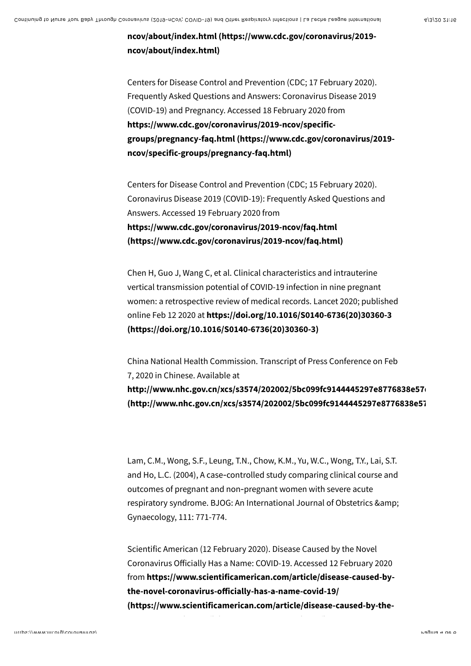**[ncov/about/index.html \(https://www.cdc.gov/coronavirus/2019](https://www.cdc.gov/coronavirus/2019-ncov/about/index.html) ncov/about/index.html)**

Centers for Disease Control and Prevention (CDC; 17 February 2020). Frequently Asked Questions and Answers: Coronavirus Disease 2019 (COVID-19) and Pregnancy. Accessed 18 February 2020 from **https://www.cdc.gov/coronavirus/2019-ncov/specific[groups/pregnancy-faq.html \(https://www.cdc.gov/coronavirus/2019](https://www.cdc.gov/coronavirus/2019-ncov/specific-groups/pregnancy-faq.html) ncov/specific-groups/pregnancy-faq.html)**

Centers for Disease Control and Prevention (CDC; 15 February 2020). Coronavirus Disease 2019 (COVID-19): Frequently Asked Questions and Answers. Accessed 19 February 2020 from **https://www.cdc.gov/coronavirus/2019-ncov/faq.html [\(https://www.cdc.gov/coronavirus/2019-ncov/faq.html\)](https://www.cdc.gov/coronavirus/2019-ncov/faq.html)**

Chen H, Guo J, Wang C, et al. Clinical characteristics and intrauterine vertical transmission potential of COVID-19 infection in nine pregnant women: a retrospective review of medical records. Lancet 2020; published online Feb 12 2020 at **https://doi.org/10.1016/S0140-6736(20)30360-3 [\(https://doi.org/10.1016/S0140-6736\(20\)30360-3\)](https://doi.org/10.1016/S0140-6736(20)30360-3)**

China National Health Commission. Transcript of Press Conference on Feb 7, 2020 in Chinese. Available at http://www.nhc.gov.cn/xcs/s3574/202002/5bc099fc9144445297e8776838e57 (http://www.nhc.gov.cn/xcs/s3574/202002/5bc099fc9144445297e8776838e57

Lam, C.M., Wong, S.F., Leung, T.N., Chow, K.M., Yu, W.C., Wong, T.Y., Lai, S.T. and Ho, L.C. (2004), A case‐controlled study comparing clinical course and outcomes of pregnant and non‐pregnant women with severe acute respiratory syndrome. BJOG: An International Journal of Obstetrics & Gynaecology, 111: 771-774.

Scientific American (12 February 2020). Disease Caused by the Novel Coronavirus Officially Has a Name: COVID-19. Accessed 12 February 2020 from **https://www.scientificamerican.com/article/disease-caused-bythe-novel-coronavirus-o!icially-has-a-name-covid-19/ [\(https://www.scientificamerican.com/article/disease-caused-by-the-](https://www.scientificamerican.com/article/disease-caused-by-the-novel-coronavirus-officially-has-a-name-covid-19/)**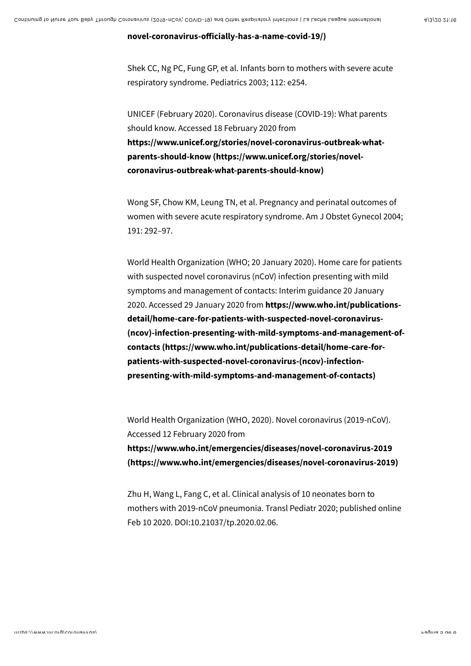#### **novel-coronavirus-o![icially-has-a-name-covid-19/\)](https://www.scientificamerican.com/article/disease-caused-by-the-novel-coronavirus-officially-has-a-name-covid-19/)**

Shek CC, Ng PC, Fung GP, et al. Infants born to mothers with severe acute respiratory syndrome. Pediatrics 2003; 112: e254.

UNICEF (February 2020). Coronavirus disease (COVID-19): What parents should know. Accessed 18 February 2020 from **[https://www.unicef.org/stories/novel-coronavirus-outbreak-what](https://www.unicef.org/stories/novel-coronavirus-outbreak-what-parents-should-know)parents-should-know (https://www.unicef.org/stories/novelcoronavirus-outbreak-what-parents-should-know)**

Wong SF, Chow KM, Leung TN, et al. Pregnancy and perinatal outcomes of women with severe acute respiratory syndrome. Am J Obstet Gynecol 2004; 191: 292–97.

World Health Organization (WHO; 20 January 2020). Home care for patients with suspected novel coronavirus (nCoV) infection presenting with mild symptoms and management of contacts: Interim guidance 20 January 2020. Accessed 29 January 2020 from **https://www.who.int/publicationsdetail/home-care-for-patients-with-suspected-novel-coronavirus- [\(ncov\)-infection-presenting-with-mild-symptoms-and-management-of](https://www.who.int/publications-detail/home-care-for-patients-with-suspected-novel-coronavirus-(ncov)-infection-presenting-with-mild-symptoms-and-management-of-contacts)contacts (https://www.who.int/publications-detail/home-care-forpatients-with-suspected-novel-coronavirus-(ncov)-infectionpresenting-with-mild-symptoms-and-management-of-contacts)**

World Health Organization (WHO, 2020). Novel coronavirus (2019-nCoV). Accessed 12 February 2020 from **https://www.who.int/emergencies/diseases/novel-coronavirus-2019 [\(https://www.who.int/emergencies/diseases/novel-coronavirus-2019\)](https://www.who.int/emergencies/diseases/novel-coronavirus-2019)**

Zhu H, Wang L, Fang C, et al. Clinical analysis of 10 neonates born to mothers with 2019-nCoV pneumonia. Transl Pediatr 2020; published online Feb 10 2020. DOI:10.21037/tp.2020.02.06.